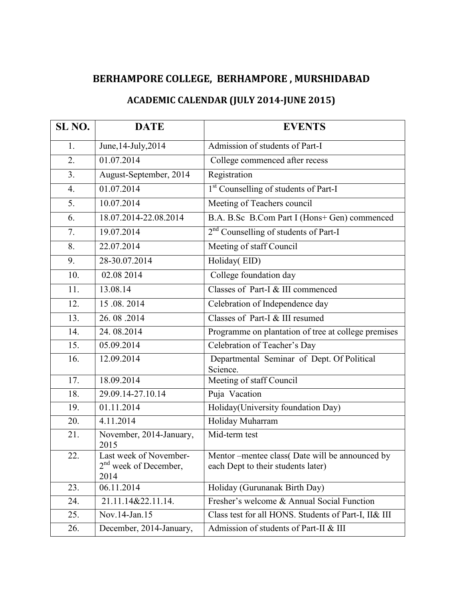## **BERHAMPORE COLLEGE, BERHAMPORE , MURSHIDABAD**

## **ACADEMIC CALENDAR (JULY 2014-JUNE 2015)**

| SL <sub>NO.</sub> | <b>DATE</b>                                               | <b>EVENTS</b>                                                                        |
|-------------------|-----------------------------------------------------------|--------------------------------------------------------------------------------------|
| 1.                | June, 14-July, 2014                                       | Admission of students of Part-I                                                      |
| 2.                | 01.07.2014                                                | College commenced after recess                                                       |
| 3.                | August-September, 2014                                    | Registration                                                                         |
| 4.                | 01.07.2014                                                | 1 <sup>st</sup> Counselling of students of Part-I                                    |
| 5.                | 10.07.2014                                                | Meeting of Teachers council                                                          |
| 6.                | 18.07.2014-22.08.2014                                     | B.A. B.Sc B.Com Part I (Hons+ Gen) commenced                                         |
| 7.                | 19.07.2014                                                | 2 <sup>nd</sup> Counselling of students of Part-I                                    |
| 8.                | 22.07.2014                                                | Meeting of staff Council                                                             |
| 9.                | 28-30.07.2014                                             | Holiday(EID)                                                                         |
| 10.               | 02.08 2014                                                | College foundation day                                                               |
| 11.               | 13.08.14                                                  | Classes of Part-I & III commenced                                                    |
| 12.               | 15.08.2014                                                | Celebration of Independence day                                                      |
| 13.               | 26.08.2014                                                | Classes of Part-I & III resumed                                                      |
| 14.               | 24.08.2014                                                | Programme on plantation of tree at college premises                                  |
| 15.               | 05.09.2014                                                | Celebration of Teacher's Day                                                         |
| 16.               | 12.09.2014                                                | Departmental Seminar of Dept. Of Political<br>Science.                               |
| 17.               | 18.09.2014                                                | Meeting of staff Council                                                             |
| 18.               | 29.09.14-27.10.14                                         | Puja Vacation                                                                        |
| 19.               | 01.11.2014                                                | Holiday(University foundation Day)                                                   |
| 20.               | 4.11.2014                                                 | Holiday Muharram                                                                     |
| 21.               | November, 2014-January,<br>2015                           | Mid-term test                                                                        |
| 22.               | Last week of November-<br>$2nd$ week of December,<br>2014 | Mentor –mentee class(Date will be announced by<br>each Dept to their students later) |
| 23.               | 06.11.2014                                                | Holiday (Gurunanak Birth Day)                                                        |
| 24.               | 21.11.14&22.11.14.                                        | Fresher's welcome & Annual Social Function                                           |
| 25.               | Nov.14-Jan.15                                             | Class test for all HONS. Students of Part-I, II& III                                 |
| 26.               | December, 2014-January,                                   | Admission of students of Part-II & III                                               |